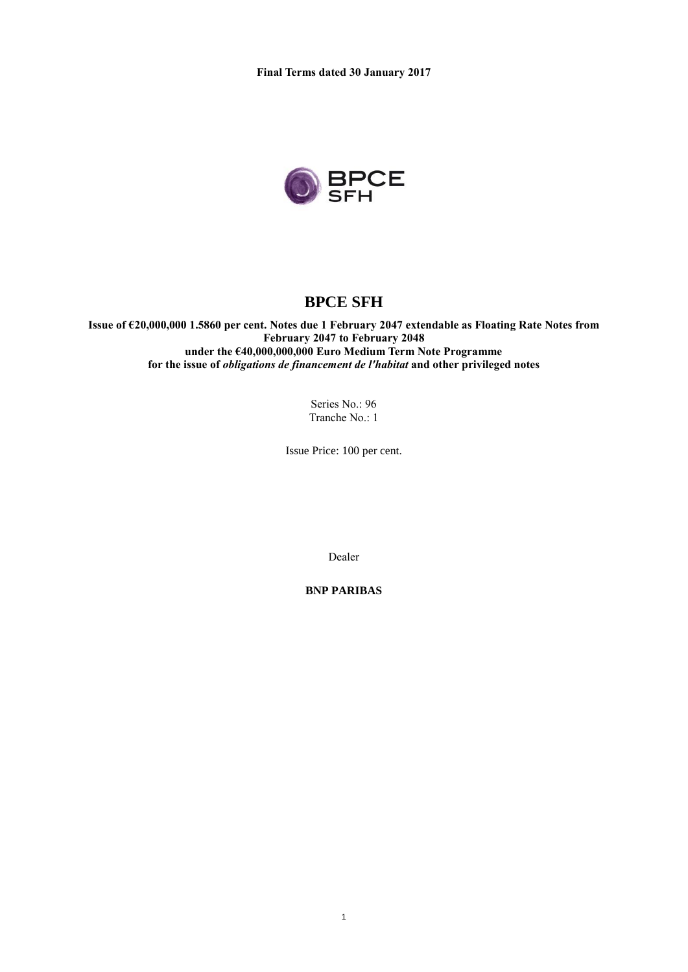

# **BPCE SFH**

**Issue of €20,000,000 1.5860 per cent. Notes due 1 February 2047 extendable as Floating Rate Notes from February 2047 to February 2048 under the €40,000,000,000 Euro Medium Term Note Programme for the issue of** *obligations de financement de l'habitat* **and other privileged notes**

> Series No.: 96 Tranche No.: 1

Issue Price: 100 per cent.

Dealer

**BNP PARIBAS**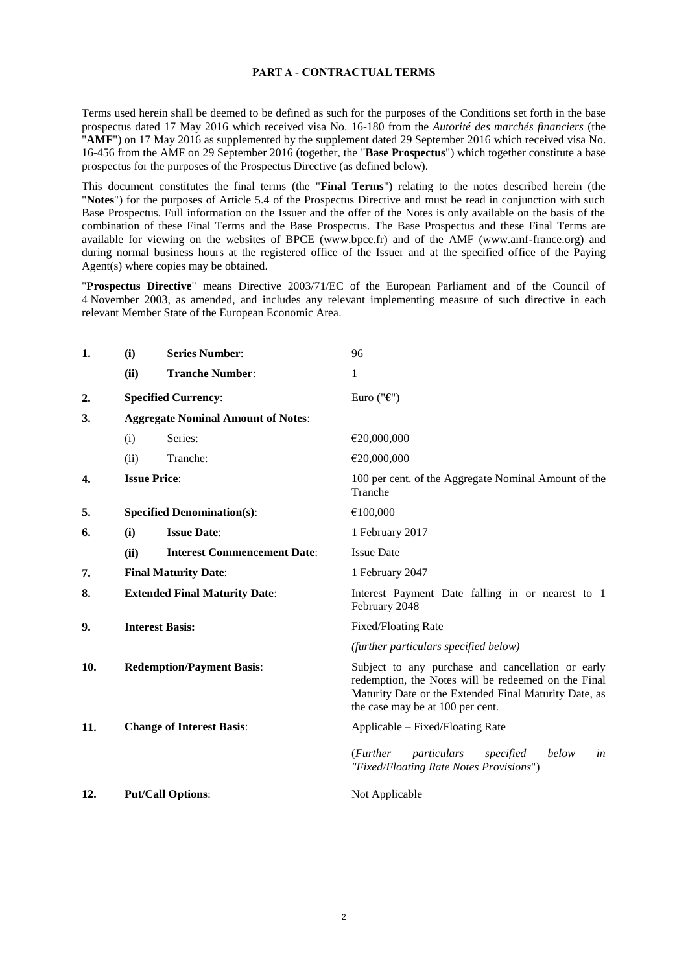#### **PART A - CONTRACTUAL TERMS**

Terms used herein shall be deemed to be defined as such for the purposes of the Conditions set forth in the base prospectus dated 17 May 2016 which received visa No. 16-180 from the *Autorité des marchés financiers* (the "**AMF**") on 17 May 2016 as supplemented by the supplement dated 29 September 2016 which received visa No. 16-456 from the AMF on 29 September 2016 (together, the "**Base Prospectus**") which together constitute a base prospectus for the purposes of the Prospectus Directive (as defined below).

This document constitutes the final terms (the "**Final Terms**") relating to the notes described herein (the "**Notes**") for the purposes of Article 5.4 of the Prospectus Directive and must be read in conjunction with such Base Prospectus. Full information on the Issuer and the offer of the Notes is only available on the basis of the combination of these Final Terms and the Base Prospectus. The Base Prospectus and these Final Terms are available for viewing on the websites of BPCE (www.bpce.fr) and of the AMF (www.amf-france.org) and during normal business hours at the registered office of the Issuer and at the specified office of the Paying Agent(s) where copies may be obtained.

"**Prospectus Directive**" means Directive 2003/71/EC of the European Parliament and of the Council of 4 November 2003, as amended, and includes any relevant implementing measure of such directive in each relevant Member State of the European Economic Area.

| 1.  | (i)                                       | <b>Series Number:</b>              | 96                                                                                                                                                                                                    |  |
|-----|-------------------------------------------|------------------------------------|-------------------------------------------------------------------------------------------------------------------------------------------------------------------------------------------------------|--|
|     | (ii)                                      | <b>Tranche Number:</b>             | 1                                                                                                                                                                                                     |  |
| 2.  |                                           | <b>Specified Currency:</b>         | Euro (" $\epsilon$ ")                                                                                                                                                                                 |  |
| 3.  | <b>Aggregate Nominal Amount of Notes:</b> |                                    |                                                                                                                                                                                                       |  |
|     | (i)                                       | Series:                            | €20,000,000                                                                                                                                                                                           |  |
|     | (ii)                                      | Tranche:                           | €20,000,000                                                                                                                                                                                           |  |
| 4.  |                                           | <b>Issue Price:</b>                | 100 per cent. of the Aggregate Nominal Amount of the<br>Tranche                                                                                                                                       |  |
| 5.  | <b>Specified Denomination(s):</b>         |                                    | €100,000                                                                                                                                                                                              |  |
| 6.  | (i)                                       | <b>Issue Date:</b>                 | 1 February 2017                                                                                                                                                                                       |  |
|     | (ii)                                      | <b>Interest Commencement Date:</b> | <b>Issue Date</b>                                                                                                                                                                                     |  |
| 7.  | <b>Final Maturity Date:</b>               |                                    | 1 February 2047                                                                                                                                                                                       |  |
| 8.  | <b>Extended Final Maturity Date:</b>      |                                    | Interest Payment Date falling in or nearest to 1<br>February 2048                                                                                                                                     |  |
| 9.  | <b>Interest Basis:</b>                    |                                    | Fixed/Floating Rate                                                                                                                                                                                   |  |
|     |                                           |                                    | (further particulars specified below)                                                                                                                                                                 |  |
| 10. | <b>Redemption/Payment Basis:</b>          |                                    | Subject to any purchase and cancellation or early<br>redemption, the Notes will be redeemed on the Final<br>Maturity Date or the Extended Final Maturity Date, as<br>the case may be at 100 per cent. |  |
| 11. |                                           | <b>Change of Interest Basis:</b>   | Applicable – Fixed/Floating Rate                                                                                                                                                                      |  |
|     |                                           |                                    | ( <i>Further</i><br>particulars<br>specified<br>below<br>in<br>"Fixed/Floating Rate Notes Provisions")                                                                                                |  |
| 12. |                                           | <b>Put/Call Options:</b>           | Not Applicable                                                                                                                                                                                        |  |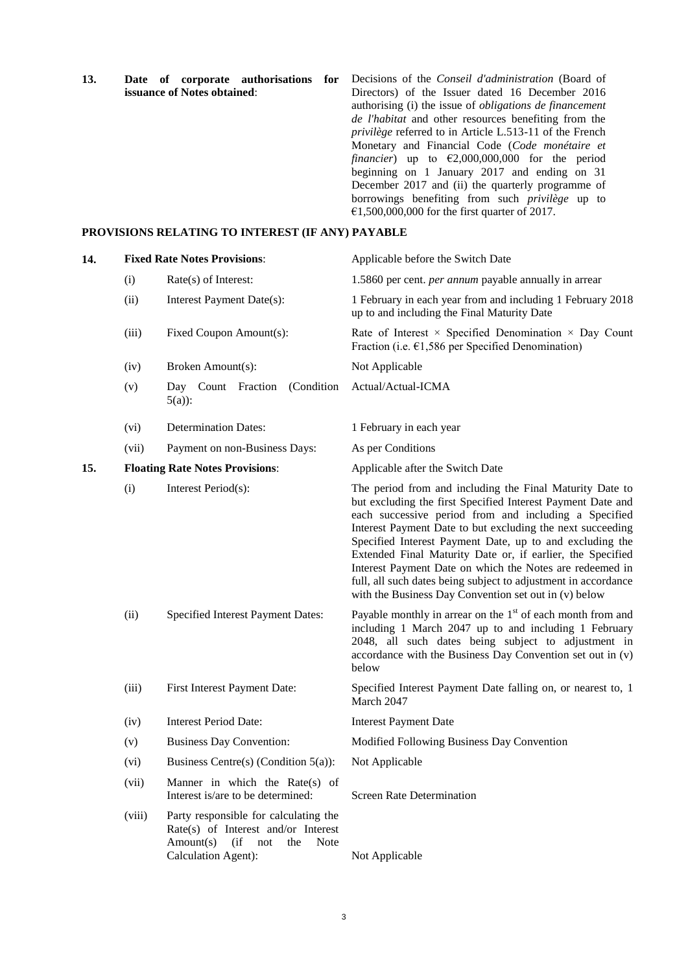**13. Date of corporate authorisations for issuance of Notes obtained**: Decisions of the *Conseil d'administration* (Board of Directors) of the Issuer dated 16 December 2016 authorising (i) the issue of *obligations de financement de l'habitat* and other resources benefiting from the *privilège* referred to in Article L.513-11 of the French Monetary and Financial Code (*Code monétaire et financier*) up to  $\epsilon$ 2,000,000,000 for the period beginning on 1 January 2017 and ending on 31 December 2017 and (ii) the quarterly programme of borrowings benefiting from such *privilège* up to €1,500,000,000 for the first quarter of 2017.

#### **PROVISIONS RELATING TO INTEREST (IF ANY) PAYABLE**

| 14. |        | <b>Fixed Rate Notes Provisions:</b>                                                                                                          | Applicable before the Switch Date                                                                                                                                                                                                                                                                                                                                                                                                                                                                                                                               |
|-----|--------|----------------------------------------------------------------------------------------------------------------------------------------------|-----------------------------------------------------------------------------------------------------------------------------------------------------------------------------------------------------------------------------------------------------------------------------------------------------------------------------------------------------------------------------------------------------------------------------------------------------------------------------------------------------------------------------------------------------------------|
|     | (i)    | Rate(s) of Interest:                                                                                                                         | 1.5860 per cent. <i>per annum</i> payable annually in arrear                                                                                                                                                                                                                                                                                                                                                                                                                                                                                                    |
|     | (ii)   | Interest Payment Date(s):                                                                                                                    | 1 February in each year from and including 1 February 2018<br>up to and including the Final Maturity Date                                                                                                                                                                                                                                                                                                                                                                                                                                                       |
|     | (iii)  | Fixed Coupon Amount(s):                                                                                                                      | Rate of Interest $\times$ Specified Denomination $\times$ Day Count<br>Fraction (i.e. $\epsilon$ 1,586 per Specified Denomination)                                                                                                                                                                                                                                                                                                                                                                                                                              |
|     | (iv)   | Broken Amount(s):                                                                                                                            | Not Applicable                                                                                                                                                                                                                                                                                                                                                                                                                                                                                                                                                  |
|     | (v)    | Fraction<br>(Condition<br>Day Count<br>$5(a)$ :                                                                                              | Actual/Actual-ICMA                                                                                                                                                                                                                                                                                                                                                                                                                                                                                                                                              |
|     | (vi)   | <b>Determination Dates:</b>                                                                                                                  | 1 February in each year                                                                                                                                                                                                                                                                                                                                                                                                                                                                                                                                         |
|     | (vii)  | Payment on non-Business Days:                                                                                                                | As per Conditions                                                                                                                                                                                                                                                                                                                                                                                                                                                                                                                                               |
| 15. |        | <b>Floating Rate Notes Provisions:</b>                                                                                                       | Applicable after the Switch Date                                                                                                                                                                                                                                                                                                                                                                                                                                                                                                                                |
|     | (i)    | Interest Period(s):                                                                                                                          | The period from and including the Final Maturity Date to<br>but excluding the first Specified Interest Payment Date and<br>each successive period from and including a Specified<br>Interest Payment Date to but excluding the next succeeding<br>Specified Interest Payment Date, up to and excluding the<br>Extended Final Maturity Date or, if earlier, the Specified<br>Interest Payment Date on which the Notes are redeemed in<br>full, all such dates being subject to adjustment in accordance<br>with the Business Day Convention set out in (v) below |
|     | (ii)   | Specified Interest Payment Dates:                                                                                                            | Payable monthly in arrear on the $1st$ of each month from and<br>including 1 March 2047 up to and including 1 February<br>2048, all such dates being subject to adjustment in<br>accordance with the Business Day Convention set out in (v)<br>below                                                                                                                                                                                                                                                                                                            |
|     | (iii)  | First Interest Payment Date:                                                                                                                 | Specified Interest Payment Date falling on, or nearest to, 1<br>March 2047                                                                                                                                                                                                                                                                                                                                                                                                                                                                                      |
|     | (iv)   | <b>Interest Period Date:</b>                                                                                                                 | <b>Interest Payment Date</b>                                                                                                                                                                                                                                                                                                                                                                                                                                                                                                                                    |
|     | (v)    | <b>Business Day Convention:</b>                                                                                                              | Modified Following Business Day Convention                                                                                                                                                                                                                                                                                                                                                                                                                                                                                                                      |
|     | (vi)   | Business Centre(s) (Condition $5(a)$ ):                                                                                                      | Not Applicable                                                                                                                                                                                                                                                                                                                                                                                                                                                                                                                                                  |
|     | (vii)  | Manner in which the Rate(s) of<br>Interest is/are to be determined:                                                                          | <b>Screen Rate Determination</b>                                                                                                                                                                                                                                                                                                                                                                                                                                                                                                                                |
|     | (viii) | Party responsible for calculating the<br>Rate(s) of Interest and/or Interest<br>$Amount(s)$ (if<br>Note<br>not<br>the<br>Calculation Agent): | Not Applicable                                                                                                                                                                                                                                                                                                                                                                                                                                                                                                                                                  |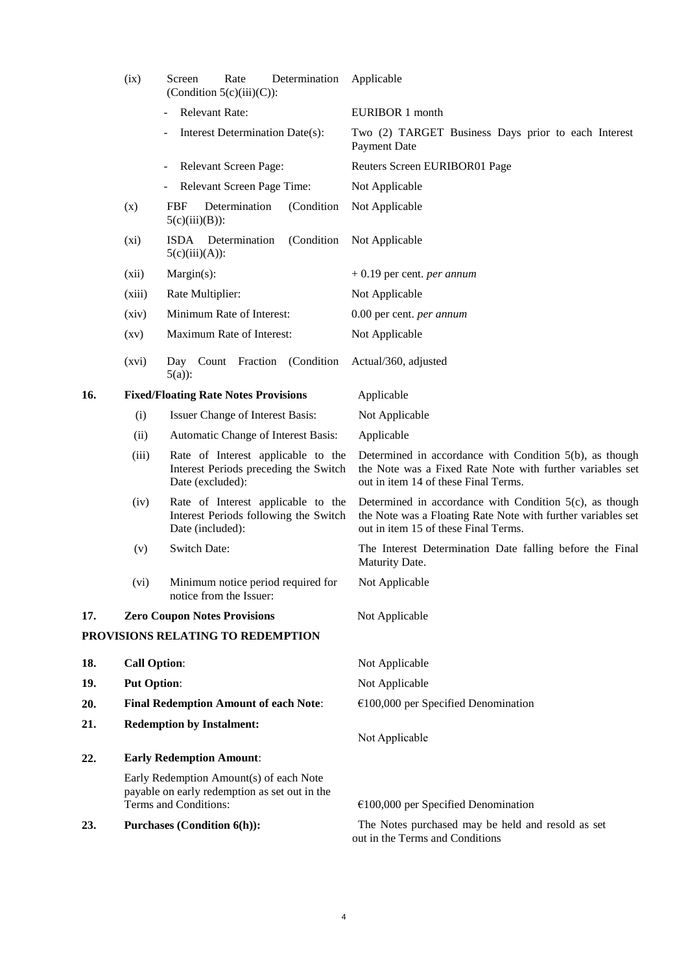|     | (ix)                                         | Rate<br>Determination<br>Screen<br>(Condition $5(c)(iii)(C)$ ):                                                   | Applicable                                                                                                                                                         |
|-----|----------------------------------------------|-------------------------------------------------------------------------------------------------------------------|--------------------------------------------------------------------------------------------------------------------------------------------------------------------|
|     |                                              | <b>Relevant Rate:</b>                                                                                             | EURIBOR 1 month                                                                                                                                                    |
|     |                                              | Interest Determination Date(s):                                                                                   | Two (2) TARGET Business Days prior to each Interest<br><b>Payment Date</b>                                                                                         |
|     |                                              | Relevant Screen Page:                                                                                             | Reuters Screen EURIBOR01 Page                                                                                                                                      |
|     |                                              | Relevant Screen Page Time:                                                                                        | Not Applicable                                                                                                                                                     |
|     | (x)                                          | <b>FBF</b><br>Determination<br>(Condition)<br>$5(c)(iii)(B))$ :                                                   | Not Applicable                                                                                                                                                     |
|     | $(x_i)$                                      | (Condition)<br>ISDA Determination<br>$5(c)(iii)(A))$ :                                                            | Not Applicable                                                                                                                                                     |
|     | (xii)                                        | $Margin(s)$ :                                                                                                     | $+0.19$ per cent. <i>per annum</i>                                                                                                                                 |
|     | (xiii)                                       | Rate Multiplier:                                                                                                  | Not Applicable                                                                                                                                                     |
|     | (xiv)                                        | Minimum Rate of Interest:                                                                                         | 0.00 per cent. per annum                                                                                                                                           |
|     | (xv)                                         | Maximum Rate of Interest:                                                                                         | Not Applicable                                                                                                                                                     |
|     | (xvi)                                        | (Condition)<br>Day Count Fraction<br>$5(a)$ :                                                                     | Actual/360, adjusted                                                                                                                                               |
| 16. |                                              | <b>Fixed/Floating Rate Notes Provisions</b>                                                                       | Applicable                                                                                                                                                         |
|     | (i)                                          | Issuer Change of Interest Basis:                                                                                  | Not Applicable                                                                                                                                                     |
|     | (ii)                                         | Automatic Change of Interest Basis:                                                                               | Applicable                                                                                                                                                         |
|     | (iii)                                        | Rate of Interest applicable to the<br>Interest Periods preceding the Switch<br>Date (excluded):                   | Determined in accordance with Condition 5(b), as though<br>the Note was a Fixed Rate Note with further variables set<br>out in item 14 of these Final Terms.       |
|     | (iv)                                         | Rate of Interest applicable to the<br>Interest Periods following the Switch<br>Date (included):                   | Determined in accordance with Condition $5(c)$ , as though<br>the Note was a Floating Rate Note with further variables set<br>out in item 15 of these Final Terms. |
|     | (v)                                          | <b>Switch Date:</b>                                                                                               | The Interest Determination Date falling before the Final<br>Maturity Date.                                                                                         |
|     | (vi)                                         | Minimum notice period required for<br>notice from the Issuer:                                                     | Not Applicable                                                                                                                                                     |
| 17. |                                              | <b>Zero Coupon Notes Provisions</b>                                                                               | Not Applicable                                                                                                                                                     |
|     |                                              | PROVISIONS RELATING TO REDEMPTION                                                                                 |                                                                                                                                                                    |
| 18. | <b>Call Option:</b>                          |                                                                                                                   | Not Applicable                                                                                                                                                     |
| 19. | <b>Put Option:</b>                           |                                                                                                                   | Not Applicable                                                                                                                                                     |
| 20. | <b>Final Redemption Amount of each Note:</b> |                                                                                                                   | $€100,000$ per Specified Denomination                                                                                                                              |
| 21. | <b>Redemption by Instalment:</b>             |                                                                                                                   | Not Applicable                                                                                                                                                     |
| 22. |                                              | <b>Early Redemption Amount:</b>                                                                                   |                                                                                                                                                                    |
|     |                                              | Early Redemption Amount(s) of each Note<br>payable on early redemption as set out in the<br>Terms and Conditions: |                                                                                                                                                                    |
|     |                                              |                                                                                                                   | $€100,000$ per Specified Denomination                                                                                                                              |
| 23. |                                              | <b>Purchases (Condition 6(h)):</b>                                                                                | The Notes purchased may be held and resold as set<br>out in the Terms and Conditions                                                                               |

4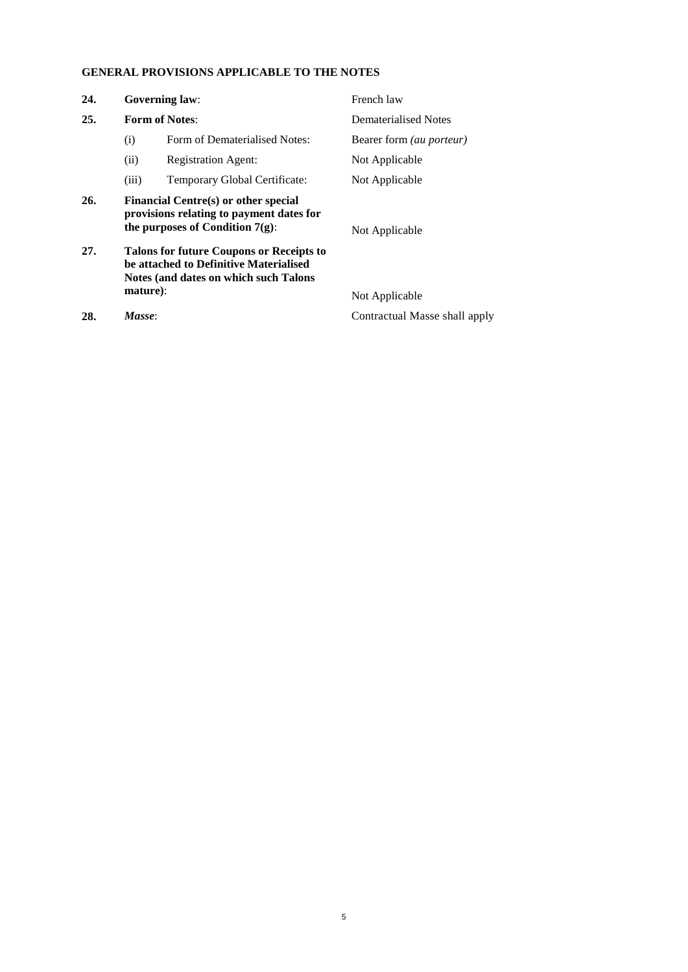# **GENERAL PROVISIONS APPLICABLE TO THE NOTES**

| 24. |                                                                                                                                    | <b>Governing law:</b>                                                                                                  | French law                      |  |
|-----|------------------------------------------------------------------------------------------------------------------------------------|------------------------------------------------------------------------------------------------------------------------|---------------------------------|--|
| 25. |                                                                                                                                    | <b>Form of Notes:</b>                                                                                                  | Dematerialised Notes            |  |
|     | (i)                                                                                                                                | Form of Dematerialised Notes:                                                                                          | Bearer form <i>(au porteur)</i> |  |
|     | (ii)                                                                                                                               | <b>Registration Agent:</b>                                                                                             | Not Applicable                  |  |
|     | (iii)                                                                                                                              | Temporary Global Certificate:                                                                                          | Not Applicable                  |  |
| 26. |                                                                                                                                    | Financial Centre(s) or other special<br>provisions relating to payment dates for<br>the purposes of Condition $7(g)$ : | Not Applicable                  |  |
| 27. | <b>Talons for future Coupons or Receipts to</b><br>be attached to Definitive Materialised<br>Notes (and dates on which such Talons |                                                                                                                        |                                 |  |
|     | mature):                                                                                                                           |                                                                                                                        | Not Applicable                  |  |
| 28. | Masse:                                                                                                                             |                                                                                                                        | Contractual Masse shall apply   |  |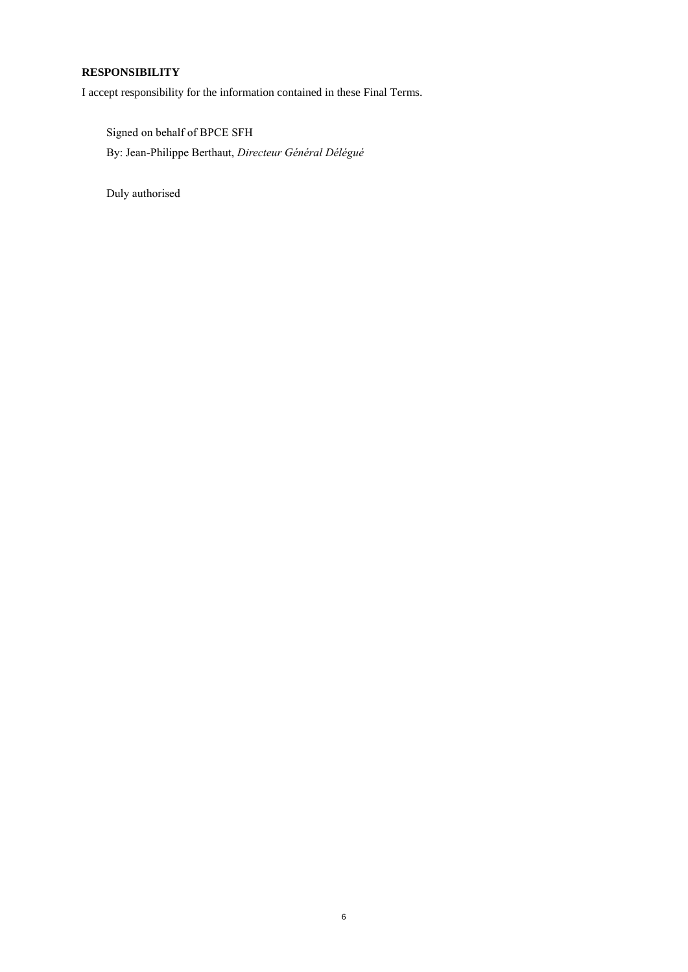## **RESPONSIBILITY**

I accept responsibility for the information contained in these Final Terms.

Signed on behalf of BPCE SFH By: Jean-Philippe Berthaut, *Directeur Général Délégué*

Duly authorised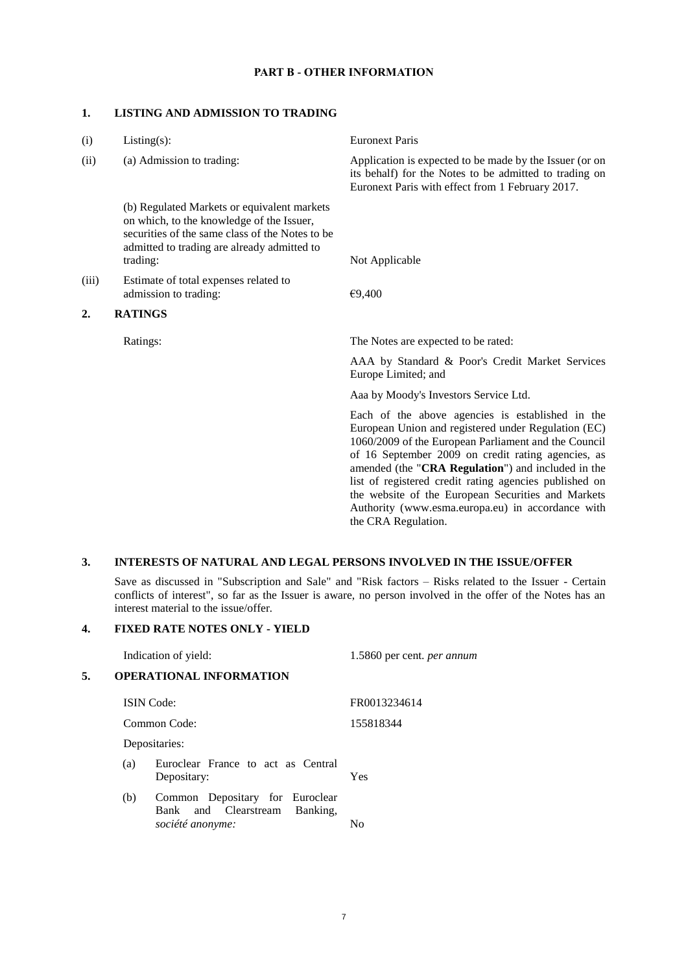#### **PART B - OTHER INFORMATION**

#### **1. LISTING AND ADMISSION TO TRADING**

| (i)   | Listing(s):                                                                                                                                                                                            | <b>Euronext Paris</b>                                                                                                                                                                                                                                                                                                                                                                                                                                                   |
|-------|--------------------------------------------------------------------------------------------------------------------------------------------------------------------------------------------------------|-------------------------------------------------------------------------------------------------------------------------------------------------------------------------------------------------------------------------------------------------------------------------------------------------------------------------------------------------------------------------------------------------------------------------------------------------------------------------|
| (ii)  | (a) Admission to trading:                                                                                                                                                                              | Application is expected to be made by the Issuer (or on<br>its behalf) for the Notes to be admitted to trading on<br>Euronext Paris with effect from 1 February 2017.                                                                                                                                                                                                                                                                                                   |
|       | (b) Regulated Markets or equivalent markets<br>on which, to the knowledge of the Issuer,<br>securities of the same class of the Notes to be<br>admitted to trading are already admitted to<br>trading: | Not Applicable                                                                                                                                                                                                                                                                                                                                                                                                                                                          |
| (iii) | Estimate of total expenses related to<br>admission to trading:                                                                                                                                         | €9,400                                                                                                                                                                                                                                                                                                                                                                                                                                                                  |
| 2.    | <b>RATINGS</b>                                                                                                                                                                                         |                                                                                                                                                                                                                                                                                                                                                                                                                                                                         |
|       | Ratings:                                                                                                                                                                                               | The Notes are expected to be rated:                                                                                                                                                                                                                                                                                                                                                                                                                                     |
|       |                                                                                                                                                                                                        | AAA by Standard & Poor's Credit Market Services<br>Europe Limited; and                                                                                                                                                                                                                                                                                                                                                                                                  |
|       |                                                                                                                                                                                                        | Aaa by Moody's Investors Service Ltd.                                                                                                                                                                                                                                                                                                                                                                                                                                   |
|       |                                                                                                                                                                                                        | Each of the above agencies is established in the<br>European Union and registered under Regulation (EC)<br>1060/2009 of the European Parliament and the Council<br>of 16 September 2009 on credit rating agencies, as<br>amended (the "CRA Regulation") and included in the<br>list of registered credit rating agencies published on<br>the website of the European Securities and Markets<br>Authority (www.esma.europa.eu) in accordance with<br>the CRA Regulation. |

#### **3. INTERESTS OF NATURAL AND LEGAL PERSONS INVOLVED IN THE ISSUE/OFFER**

Save as discussed in "Subscription and Sale" and "Risk factors – Risks related to the Issuer - Certain conflicts of interest", so far as the Issuer is aware, no person involved in the offer of the Notes has an interest material to the issue/offer*.*

### **4. FIXED RATE NOTES ONLY - YIELD**

|    |     | Indication of yield:                                                                    | 1.5860 per cent. <i>per annum</i> |
|----|-----|-----------------------------------------------------------------------------------------|-----------------------------------|
| 5. |     | <b>OPERATIONAL INFORMATION</b>                                                          |                                   |
|    |     | <b>ISIN</b> Code:                                                                       | FR0013234614                      |
|    |     | Common Code:                                                                            | 155818344                         |
|    |     | Depositaries:                                                                           |                                   |
|    | (a) | Euroclear France to act as Central<br>Depositary:                                       | <b>Yes</b>                        |
|    | (b) | Common Depositary for Euroclear<br>and Clearstream Banking,<br>Bank<br>société anonyme: | N <sub>0</sub>                    |
|    |     |                                                                                         |                                   |